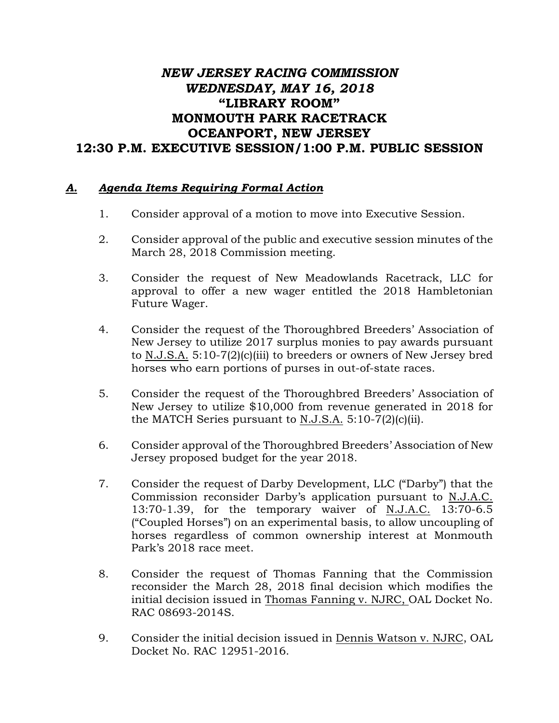## *NEW JERSEY RACING COMMISSION WEDNESDAY, MAY 16, 2018* **"LIBRARY ROOM" MONMOUTH PARK RACETRACK OCEANPORT, NEW JERSEY 12:30 P.M. EXECUTIVE SESSION/1:00 P.M. PUBLIC SESSION**

## *A. Agenda Items Requiring Formal Action*

- 1. Consider approval of a motion to move into Executive Session.
- 2. Consider approval of the public and executive session minutes of the March 28, 2018 Commission meeting.
- 3. Consider the request of New Meadowlands Racetrack, LLC for approval to offer a new wager entitled the 2018 Hambletonian Future Wager.
- 4. Consider the request of the Thoroughbred Breeders' Association of New Jersey to utilize 2017 surplus monies to pay awards pursuant to N.J.S.A. 5:10-7(2)(c)(iii) to breeders or owners of New Jersey bred horses who earn portions of purses in out-of-state races.
- 5. Consider the request of the Thoroughbred Breeders' Association of New Jersey to utilize \$10,000 from revenue generated in 2018 for the MATCH Series pursuant to N.J.S.A. 5:10-7(2)(c)(ii).
- 6. Consider approval of the Thoroughbred Breeders' Association of New Jersey proposed budget for the year 2018.
- 7. Consider the request of Darby Development, LLC ("Darby") that the Commission reconsider Darby's application pursuant to N.J.A.C. 13:70-1.39, for the temporary waiver of N.J.A.C. 13:70-6.5 ("Coupled Horses") on an experimental basis, to allow uncoupling of horses regardless of common ownership interest at Monmouth Park's 2018 race meet.
- 8. Consider the request of Thomas Fanning that the Commission reconsider the March 28, 2018 final decision which modifies the initial decision issued in Thomas Fanning v. NJRC, OAL Docket No. RAC 08693-2014S.
- 9. Consider the initial decision issued in Dennis Watson v. NJRC, OAL Docket No. RAC 12951-2016.